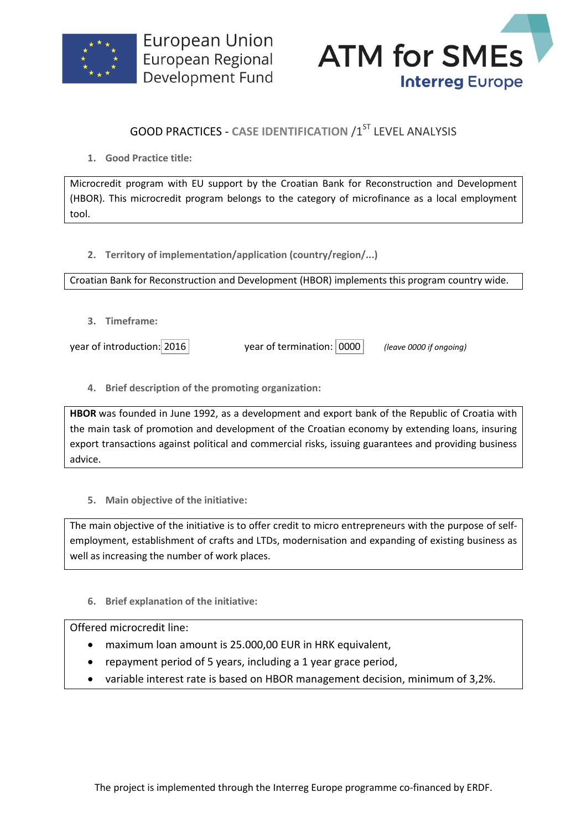



## **GOOD PRACTICES - CASE IDENTIFICATION /1ST LEVEL ANALYSIS**

**1. Good Practice title:**

Microcredit program with EU support by the Croatian Bank for Reconstruction and Development (HBOR). This microcredit program belongs to the category of microfinance as a local employment tool.

**2. Territory of implementation/application (country/region/...)**

Croatian Bank for Reconstruction and Development (HBOR) implements this program country wide.

**3. Timeframe:**

year of introduction: 2016 year of termination: 0000 *(leave 0000 if ongoing)*

**4. Brief description of the promoting organization:**

**HBOR** was founded in June 1992, as a development and export bank of the Republic of Croatia with the main task of promotion and development of the Croatian economy by extending loans, insuring export transactions against political and commercial risks, issuing guarantees and providing business advice.

**5. Main objective of the initiative:**

The main objective of the initiative is to offer credit to micro entrepreneurs with the purpose of selfemployment, establishment of crafts and LTDs, modernisation and expanding of existing business as well as increasing the number of work places.

**6. Brief explanation of the initiative:**

## Offered microcredit line:

- maximum loan amount is 25.000,00 EUR in HRK equivalent,
- repayment period of 5 years, including a 1 year grace period,
- variable interest rate is based on HBOR management decision, minimum of 3,2%.